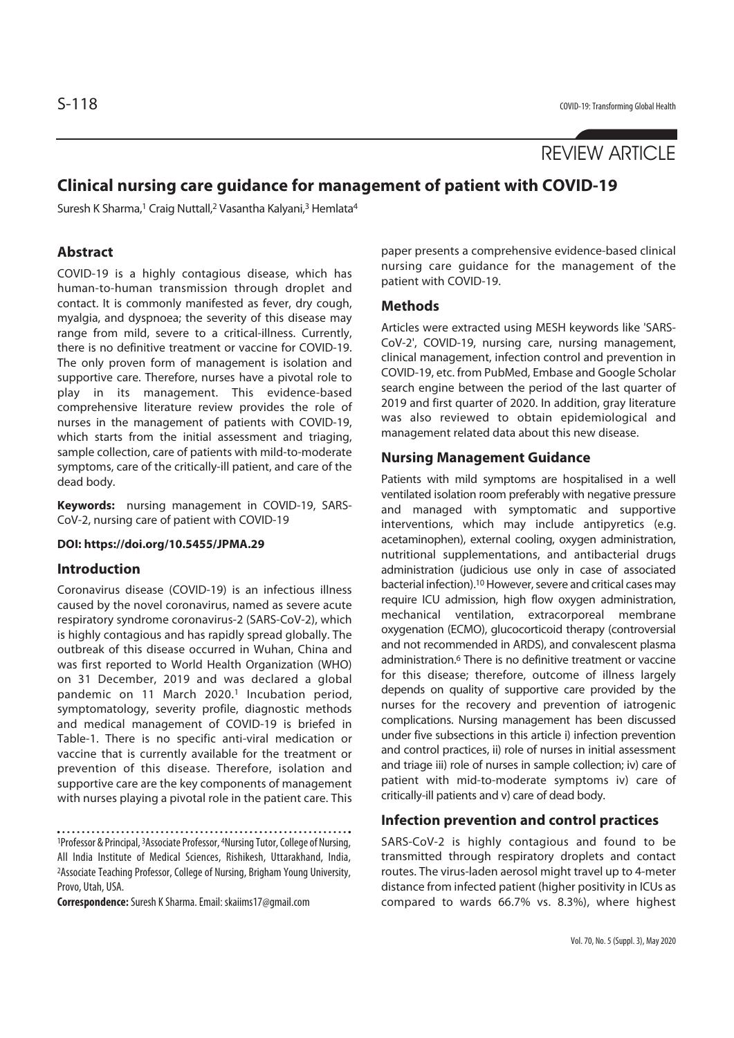# REVIEW ARTICLE

# **Clinical nursing care guidance for management of patient with COVID-19**

Suresh K Sharma,<sup>1</sup> Craig Nuttall,<sup>2</sup> Vasantha Kalyani,<sup>3</sup> Hemlata<sup>4</sup>

## **Abstract**

COVID-19 is a highly contagious disease, which has human-to-human transmission through droplet and contact. It is commonly manifested as fever, dry cough, myalgia, and dyspnoea; the severity of this disease may range from mild, severe to a critical-illness. Currently, there is no definitive treatment or vaccine for COVID-19. The only proven form of management is isolation and supportive care. Therefore, nurses have a pivotal role to play in its management. This evidence-based comprehensive literature review provides the role of nurses in the management of patients with COVID-19, which starts from the initial assessment and triaging, sample collection, care of patients with mild-to-moderate symptoms, care of the critically-ill patient, and care of the dead body.

**Keywords:** nursing management in COVID-19, SARS-CoV-2, nursing care of patient with COVID-19

## **DOI: https://doi.org/10.5455/JPMA.29**

## **Introduction**

Coronavirus disease (COVID-19) is an infectious illness caused by the novel coronavirus, named as severe acute respiratory syndrome coronavirus-2 (SARS-CoV-2), which is highly contagious and has rapidly spread globally. The outbreak of this disease occurred in Wuhan, China and was first reported to World Health Organization (WHO) on 31 December, 2019 and was declared a global pandemic on 11 March 2020.1 Incubation period, symptomatology, severity profile, diagnostic methods and medical management of COVID-19 is briefed in Table-1. There is no specific anti-viral medication or vaccine that is currently available for the treatment or prevention of this disease. Therefore, isolation and supportive care are the key components of management with nurses playing a pivotal role in the patient care. This

1Professor & Principal, 3Associate Professor, 4Nursing Tutor, College of Nursing, All India Institute of Medical Sciences, Rishikesh, Uttarakhand, India, 2Associate Teaching Professor, College of Nursing, Brigham Young University, Provo, Utah, USA.

**Correspondence:** Suresh K Sharma. Email: skaiims17@gmail.com

paper presents a comprehensive evidence-based clinical nursing care guidance for the management of the patient with COVID-19.

## **Methods**

Articles were extracted using MESH keywords like 'SARS-CoV-2', COVID-19, nursing care, nursing management, clinical management, infection control and prevention in COVID-19, etc. from PubMed, Embase and Google Scholar search engine between the period of the last quarter of 2019 and first quarter of 2020. In addition, gray literature was also reviewed to obtain epidemiological and management related data about this new disease.

## **Nursing Management Guidance**

Patients with mild symptoms are hospitalised in a well ventilated isolation room preferably with negative pressure and managed with symptomatic and supportive interventions, which may include antipyretics (e.g. acetaminophen), external cooling, oxygen administration, nutritional supplementations, and antibacterial drugs administration (judicious use only in case of associated bacterial infection).10 However, severe and critical cases may require ICU admission, high flow oxygen administration, mechanical ventilation, extracorporeal membrane oxygenation (ECMO), glucocorticoid therapy (controversial and not recommended in ARDS), and convalescent plasma administration.<sup>6</sup> There is no definitive treatment or vaccine for this disease; therefore, outcome of illness largely depends on quality of supportive care provided by the nurses for the recovery and prevention of iatrogenic complications. Nursing management has been discussed under five subsections in this article i) infection prevention and control practices, ii) role of nurses in initial assessment and triage iii) role of nurses in sample collection; iv) care of patient with mid-to-moderate symptoms iv) care of critically-ill patients and v) care of dead body.

## **Infection prevention and control practices**

SARS-CoV-2 is highly contagious and found to be transmitted through respiratory droplets and contact routes. The virus-laden aerosol might travel up to 4-meter distance from infected patient (higher positivity in ICUs as compared to wards 66.7% vs. 8.3%), where highest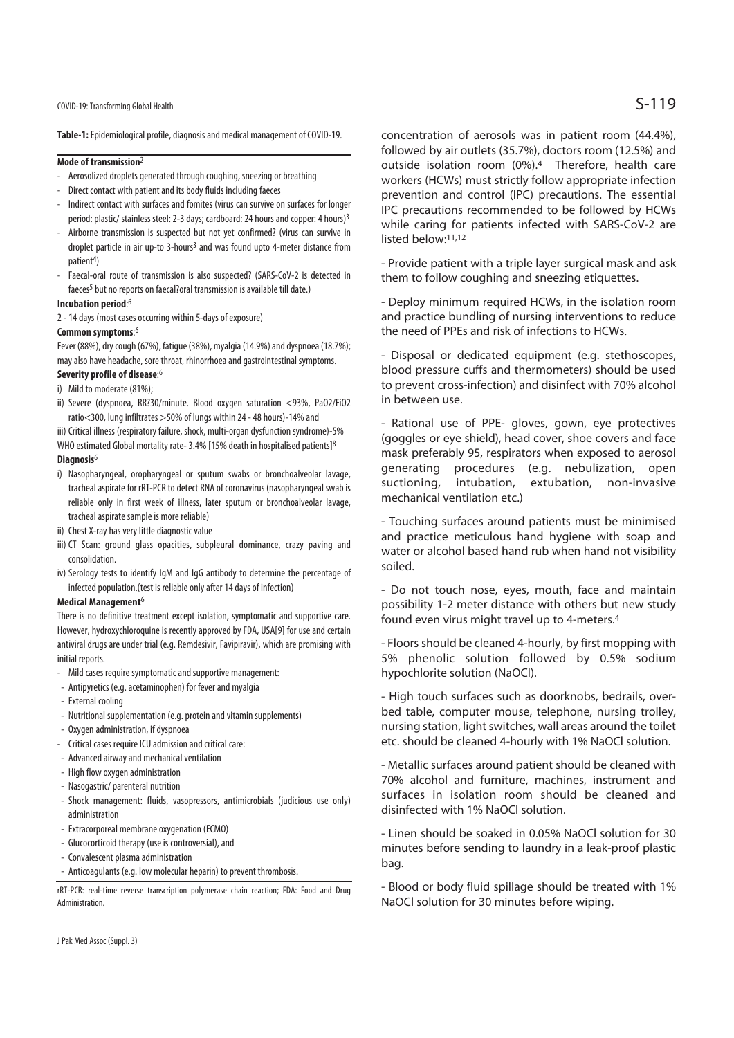COVID-19: Transforming Global Health  $\mathsf{S}\text{-}119$ 

**Table-1:** Epidemiological profile, diagnosis and medical management of COVID-19.

#### **Mode of transmission**2

- Aerosolized droplets generated through coughing, sneezing or breathing
- Direct contact with patient and its body fluids including faeces
- Indirect contact with surfaces and fomites (virus can survive on surfaces for longer period: plastic/ stainless steel: 2-3 days; cardboard: 24 hours and copper: 4 hours)3
- Airborne transmission is suspected but not yet confirmed? (virus can survive in droplet particle in air up-to 3-hours<sup>3</sup> and was found upto 4-meter distance from patient<sup>4</sup>)
- Faecal-oral route of transmission is also suspected? (SARS-CoV-2 is detected in faeces<sup>5</sup> but no reports on faecal?oral transmission is available till date.)

### **Incubation period**: 6

2 - 14 days (most cases occurring within 5-days of exposure)

### **Common symptoms**: 6

Fever (88%), dry cough (67%), fatigue (38%), myalgia (14.9%) and dyspnoea (18.7%); may also have headache, sore throat, rhinorrhoea and gastrointestinal symptoms.

## **Severity profile of disease**: 6

- i) Mild to moderate (81%);
- ii) Severe (dyspnoea, RR?30/minute. Blood oxygen saturation <93%, PaO2/FiO2 ratio<300, lung infiltrates >50% of lungs within 24 - 48 hours)-14% and

iii) Critical illness (respiratory failure, shock, multi-organ dysfunction syndrome)-5% WHO estimated Global mortality rate- 3.4% [15% death in hospitalised patients]8

#### **Diagnosis**6

- i) Nasopharyngeal, oropharyngeal or sputum swabs or bronchoalveolar lavage, tracheal aspirate for rRT-PCR to detect RNA of coronavirus (nasopharyngeal swab is reliable only in first week of illness, later sputum or bronchoalveolar lavage, tracheal aspirate sample is more reliable)
- ii) Chest X-ray has very little diagnostic value
- iii) CT Scan: ground glass opacities, subpleural dominance, crazy paving and consolidation.
- iv) Serology tests to identify IgM and IgG antibody to determine the percentage of infected population.(test is reliable only after 14 days of infection)

#### **Medical Management**6

There is no definitive treatment except isolation, symptomatic and supportive care. However, hydroxychloroquine is recently approved by FDA, USA[9] for use and certain antiviral drugs are under trial (e.g. Remdesivir, Favipiravir), which are promising with initial reports.

- Mild cases require symptomatic and supportive management:
- Antipyretics (e.g. acetaminophen) for fever and myalgia
- External cooling
- Nutritional supplementation (e.g. protein and vitamin supplements)
- Oxygen administration, if dyspnoea
- Critical cases require ICU admission and critical care:
- Advanced airway and mechanical ventilation
- High flow oxygen administration
- Nasogastric/ parenteral nutrition
- Shock management: fluids, vasopressors, antimicrobials (judicious use only) administration
- Extracorporeal membrane oxygenation (ECMO)
- Glucocorticoid therapy (use is controversial), and
- Convalescent plasma administration
- Anticoagulants (e.g. low molecular heparin) to prevent thrombosis.

rRT-PCR: real-time reverse transcription polymerase chain reaction; FDA: Food and Drug Administration.

concentration of aerosols was in patient room (44.4%), followed by air outlets (35.7%), doctors room (12.5%) and outside isolation room (0%).4 Therefore, health care workers (HCWs) must strictly follow appropriate infection prevention and control (IPC) precautions. The essential IPC precautions recommended to be followed by HCWs while caring for patients infected with SARS-CoV-2 are listed below:11,12

- Provide patient with a triple layer surgical mask and ask them to follow coughing and sneezing etiquettes.

- Deploy minimum required HCWs, in the isolation room and practice bundling of nursing interventions to reduce the need of PPEs and risk of infections to HCWs.

- Disposal or dedicated equipment (e.g. stethoscopes, blood pressure cuffs and thermometers) should be used to prevent cross-infection) and disinfect with 70% alcohol in between use.

- Rational use of PPE- gloves, gown, eye protectives (goggles or eye shield), head cover, shoe covers and face mask preferably 95, respirators when exposed to aerosol generating procedures (e.g. nebulization, open suctioning, intubation, extubation, non-invasive mechanical ventilation etc.)

- Touching surfaces around patients must be minimised and practice meticulous hand hygiene with soap and water or alcohol based hand rub when hand not visibility soiled.

- Do not touch nose, eyes, mouth, face and maintain possibility 1-2 meter distance with others but new study found even virus might travel up to 4-meters.4

- Floors should be cleaned 4-hourly, by first mopping with 5% phenolic solution followed by 0.5% sodium hypochlorite solution (NaOCl).

- High touch surfaces such as doorknobs, bedrails, overbed table, computer mouse, telephone, nursing trolley, nursing station, light switches, wall areas around the toilet etc. should be cleaned 4-hourly with 1% NaOCl solution.

- Metallic surfaces around patient should be cleaned with 70% alcohol and furniture, machines, instrument and surfaces in isolation room should be cleaned and disinfected with 1% NaOCl solution.

- Linen should be soaked in 0.05% NaOCl solution for 30 minutes before sending to laundry in a leak-proof plastic bag.

- Blood or body fluid spillage should be treated with 1% NaOCl solution for 30 minutes before wiping.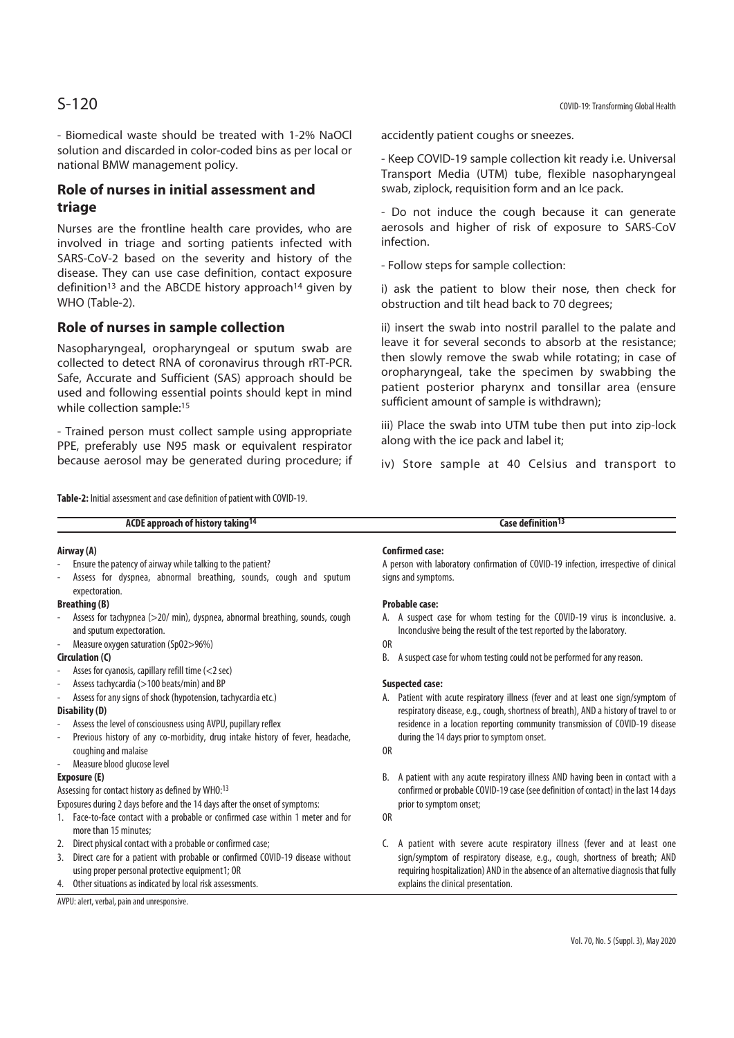- Biomedical waste should be treated with 1-2% NaOCl solution and discarded in color-coded bins as per local or national BMW management policy.

## **Role of nurses in initial assessment and triage**

Nurses are the frontline health care provides, who are involved in triage and sorting patients infected with SARS-CoV-2 based on the severity and history of the disease. They can use case definition, contact exposure definition<sup>13</sup> and the ABCDE history approach<sup>14</sup> given by WHO (Table-2).

## **Role of nurses in sample collection**

Nasopharyngeal, oropharyngeal or sputum swab are collected to detect RNA of coronavirus through rRT-PCR. Safe, Accurate and Sufficient (SAS) approach should be used and following essential points should kept in mind while collection sample:<sup>15</sup>

- Trained person must collect sample using appropriate PPE, preferably use N95 mask or equivalent respirator because aerosol may be generated during procedure; if accidently patient coughs or sneezes.

- Keep COVID-19 sample collection kit ready i.e. Universal Transport Media (UTM) tube, flexible nasopharyngeal swab, ziplock, requisition form and an Ice pack.

- Do not induce the cough because it can generate aerosols and higher of risk of exposure to SARS-CoV infection.

- Follow steps for sample collection:

i) ask the patient to blow their nose, then check for obstruction and tilt head back to 70 degrees;

ii) insert the swab into nostril parallel to the palate and leave it for several seconds to absorb at the resistance; then slowly remove the swab while rotating; in case of oropharyngeal, take the specimen by swabbing the patient posterior pharynx and tonsillar area (ensure sufficient amount of sample is withdrawn);

iii) Place the swab into UTM tube then put into zip-lock along with the ice pack and label it;

iv) Store sample at 40 Celsius and transport to

**Table-2:** Initial assessment and case definition of patient with COVID-19.

| ACDE approach of history taking <sup>14</sup>                                       | Case definition <sup>13</sup>                                                         |
|-------------------------------------------------------------------------------------|---------------------------------------------------------------------------------------|
| Airway (A)                                                                          | Confirmed case:                                                                       |
| Ensure the patency of airway while talking to the patient?                          | A person with laboratory confirmation of COVID-19 infection, irrespective of clinical |
| Assess for dyspnea, abnormal breathing, sounds, cough and sputum<br>expectoration.  | signs and symptoms.                                                                   |
| <b>Breathing (B)</b>                                                                | Probable case:                                                                        |
| Assess for tachypnea (>20/ min), dyspnea, abnormal breathing, sounds, cough         | A. A suspect case for whom testing for the COVID-19 virus is inconclusive. a.         |
| and sputum expectoration.                                                           | Inconclusive being the result of the test reported by the laboratory.                 |
| Measure oxygen saturation (Sp02>96%)                                                | 0 <sub>R</sub>                                                                        |
| Circulation (C)                                                                     | A suspect case for whom testing could not be performed for any reason.<br>В.          |
| Asses for cyanosis, capillary refill time (<2 sec)                                  |                                                                                       |
| Assess tachycardia (>100 beats/min) and BP                                          | <b>Suspected case:</b>                                                                |
| Assess for any signs of shock (hypotension, tachycardia etc.)                       | A. Patient with acute respiratory illness (fever and at least one sign/symptom of     |
| Disability (D)                                                                      | respiratory disease, e.g., cough, shortness of breath), AND a history of travel to or |
| Assess the level of consciousness using AVPU, pupillary reflex                      | residence in a location reporting community transmission of COVID-19 disease          |
| Previous history of any co-morbidity, drug intake history of fever, headache,       | during the 14 days prior to symptom onset.                                            |
| coughing and malaise                                                                | 0 <sub>R</sub>                                                                        |
| Measure blood glucose level                                                         |                                                                                       |
| Exposure (E)                                                                        | B. A patient with any acute respiratory illness AND having been in contact with a     |
| Assessing for contact history as defined by WHO:13                                  | confirmed or probable COVID-19 case (see definition of contact) in the last 14 days   |
| Exposures during 2 days before and the 14 days after the onset of symptoms:         | prior to symptom onset;                                                               |
| 1. Face-to-face contact with a probable or confirmed case within 1 meter and for    | 0 <sub>R</sub>                                                                        |
| more than 15 minutes:                                                               |                                                                                       |
| 2. Direct physical contact with a probable or confirmed case;                       | A patient with severe acute respiratory illness (fever and at least one               |
| Direct care for a patient with probable or confirmed COVID-19 disease without<br>3. | sign/symptom of respiratory disease, e.g., cough, shortness of breath; AND            |
| using proper personal protective equipment1; OR                                     | requiring hospitalization) AND in the absence of an alternative diagnosis that fully  |
| 4. Other situations as indicated by local risk assessments.                         | explains the clinical presentation.                                                   |
| AVPU: alert, verbal, pain and unresponsive.                                         |                                                                                       |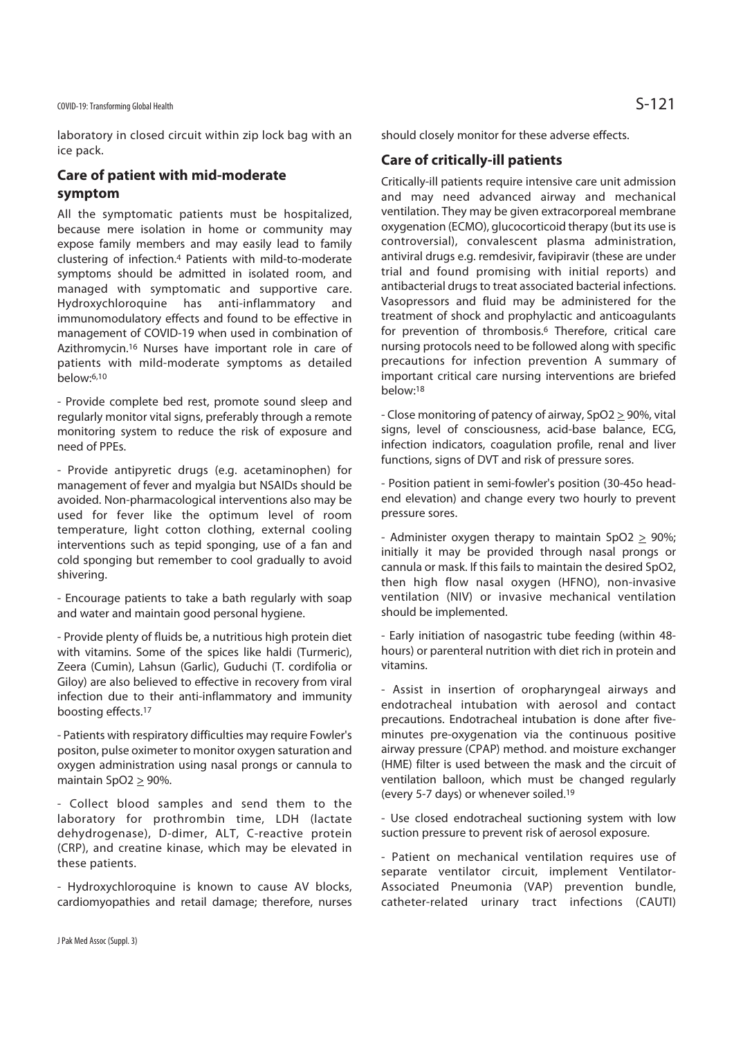laboratory in closed circuit within zip lock bag with an ice pack.

## **Care of patient with mid-moderate symptom**

All the symptomatic patients must be hospitalized, because mere isolation in home or community may expose family members and may easily lead to family clustering of infection.4 Patients with mild-to-moderate symptoms should be admitted in isolated room, and managed with symptomatic and supportive care. Hydroxychloroquine has anti-inflammatory and immunomodulatory effects and found to be effective in management of COVID-19 when used in combination of Azithromycin.16 Nurses have important role in care of patients with mild-moderate symptoms as detailed below:6,10

- Provide complete bed rest, promote sound sleep and regularly monitor vital signs, preferably through a remote monitoring system to reduce the risk of exposure and need of PPEs.

- Provide antipyretic drugs (e.g. acetaminophen) for management of fever and myalgia but NSAIDs should be avoided. Non-pharmacological interventions also may be used for fever like the optimum level of room temperature, light cotton clothing, external cooling interventions such as tepid sponging, use of a fan and cold sponging but remember to cool gradually to avoid shivering.

- Encourage patients to take a bath regularly with soap and water and maintain good personal hygiene.

- Provide plenty of fluids be, a nutritious high protein diet with vitamins. Some of the spices like haldi (Turmeric), Zeera (Cumin), Lahsun (Garlic), Guduchi (T. cordifolia or Giloy) are also believed to effective in recovery from viral infection due to their anti-inflammatory and immunity boosting effects.17

- Patients with respiratory difficulties may require Fowler's positon, pulse oximeter to monitor oxygen saturation and oxygen administration using nasal prongs or cannula to maintain SpO2 > 90%.

- Collect blood samples and send them to the laboratory for prothrombin time, LDH (lactate dehydrogenase), D-dimer, ALT, C-reactive protein (CRP), and creatine kinase, which may be elevated in these patients.

- Hydroxychloroquine is known to cause AV blocks, cardiomyopathies and retail damage; therefore, nurses should closely monitor for these adverse effects.

## **Care of critically-ill patients**

Critically-ill patients require intensive care unit admission and may need advanced airway and mechanical ventilation. They may be given extracorporeal membrane oxygenation (ECMO), glucocorticoid therapy (but its use is controversial), convalescent plasma administration, antiviral drugs e.g. remdesivir, favipiravir (these are under trial and found promising with initial reports) and antibacterial drugs to treat associated bacterial infections. Vasopressors and fluid may be administered for the treatment of shock and prophylactic and anticoagulants for prevention of thrombosis.<sup>6</sup> Therefore, critical care nursing protocols need to be followed along with specific precautions for infection prevention A summary of important critical care nursing interventions are briefed below:18

- Close monitoring of patency of airway, SpO2 > 90%, vital signs, level of consciousness, acid-base balance, ECG, infection indicators, coagulation profile, renal and liver functions, signs of DVT and risk of pressure sores.

- Position patient in semi-fowler's position (30-45o headend elevation) and change every two hourly to prevent pressure sores.

- Administer oxygen therapy to maintain SpO2  $\geq$  90%; initially it may be provided through nasal prongs or cannula or mask. If this fails to maintain the desired SpO2, then high flow nasal oxygen (HFNO), non-invasive ventilation (NIV) or invasive mechanical ventilation should be implemented.

- Early initiation of nasogastric tube feeding (within 48 hours) or parenteral nutrition with diet rich in protein and vitamins.

- Assist in insertion of oropharyngeal airways and endotracheal intubation with aerosol and contact precautions. Endotracheal intubation is done after fiveminutes pre-oxygenation via the continuous positive airway pressure (CPAP) method. and moisture exchanger (HME) filter is used between the mask and the circuit of ventilation balloon, which must be changed regularly (every 5-7 days) or whenever soiled.19

- Use closed endotracheal suctioning system with low suction pressure to prevent risk of aerosol exposure.

- Patient on mechanical ventilation requires use of separate ventilator circuit, implement Ventilator-Associated Pneumonia (VAP) prevention bundle, catheter-related urinary tract infections (CAUTI)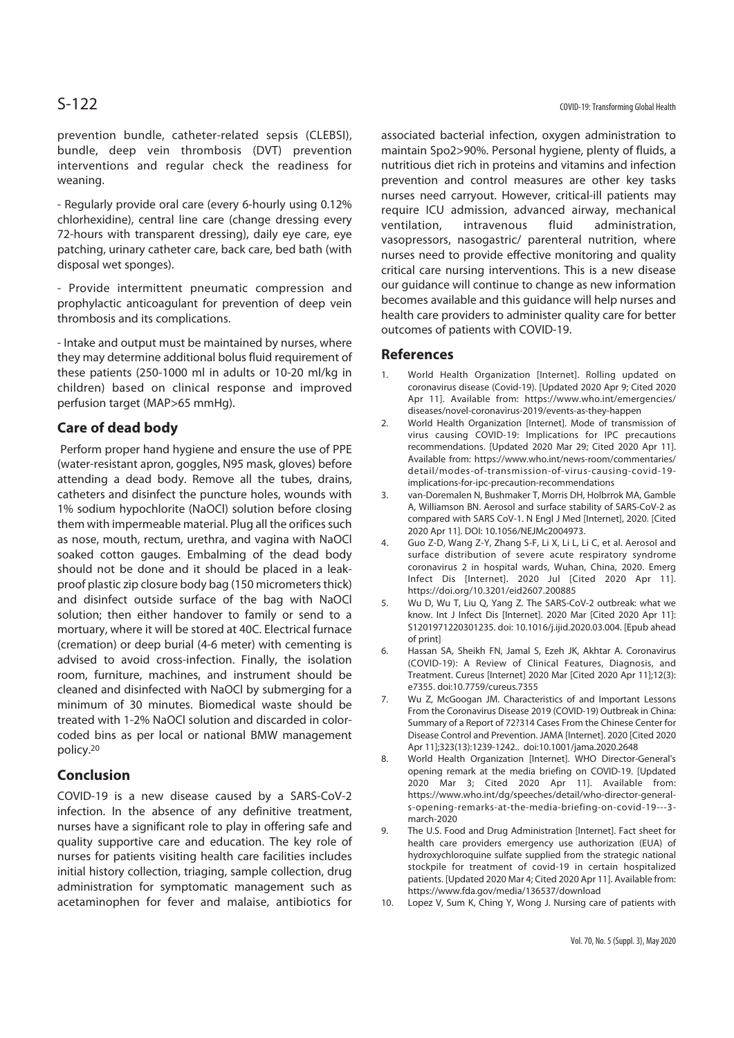prevention bundle, catheter-related sepsis (CLEBSI), bundle, deep vein thrombosis (DVT) prevention interventions and regular check the readiness for weaning.

- Regularly provide oral care (every 6-hourly using 0.12% chlorhexidine), central line care (change dressing every 72-hours with transparent dressing), daily eye care, eye patching, urinary catheter care, back care, bed bath (with disposal wet sponges).

- Provide intermittent pneumatic compression and prophylactic anticoagulant for prevention of deep vein thrombosis and its complications.

- Intake and output must be maintained by nurses, where they may determine additional bolus fluid requirement of these patients (250-1000 ml in adults or 10-20 ml/kg in children) based on clinical response and improved perfusion target (MAP>65 mmHg).

## **Care of dead body**

 Perform proper hand hygiene and ensure the use of PPE (water-resistant apron, goggles, N95 mask, gloves) before attending a dead body. Remove all the tubes, drains, catheters and disinfect the puncture holes, wounds with 1% sodium hypochlorite (NaOCl) solution before closing them with impermeable material. Plug all the orifices such as nose, mouth, rectum, urethra, and vagina with NaOCl soaked cotton gauges. Embalming of the dead body should not be done and it should be placed in a leakproof plastic zip closure body bag (150 micrometers thick) and disinfect outside surface of the bag with NaOCl solution; then either handover to family or send to a mortuary, where it will be stored at 40C. Electrical furnace (cremation) or deep burial (4-6 meter) with cementing is advised to avoid cross-infection. Finally, the isolation room, furniture, machines, and instrument should be cleaned and disinfected with NaOCl by submerging for a minimum of 30 minutes. Biomedical waste should be treated with 1-2% NaOCl solution and discarded in colorcoded bins as per local or national BMW management policy.20

## **Conclusion**

COVID-19 is a new disease caused by a SARS-CoV-2 infection. In the absence of any definitive treatment, nurses have a significant role to play in offering safe and quality supportive care and education. The key role of nurses for patients visiting health care facilities includes initial history collection, triaging, sample collection, drug administration for symptomatic management such as acetaminophen for fever and malaise, antibiotics for associated bacterial infection, oxygen administration to maintain Spo2>90%. Personal hygiene, plenty of fluids, a nutritious diet rich in proteins and vitamins and infection prevention and control measures are other key tasks nurses need carryout. However, critical-ill patients may require ICU admission, advanced airway, mechanical ventilation, intravenous fluid administration, vasopressors, nasogastric/ parenteral nutrition, where nurses need to provide effective monitoring and quality critical care nursing interventions. This is a new disease our guidance will continue to change as new information becomes available and this guidance will help nurses and health care providers to administer quality care for better outcomes of patients with COVID-19.

## **References**

- 1. World Health Organization [Internet]. Rolling updated on coronavirus disease (Covid-19). [Updated 2020 Apr 9; Cited 2020 Apr 11]. Available from: https://www.who.int/emergencies/ diseases/novel-coronavirus-2019/events-as-they-happen
- 2. World Health Organization [Internet]. Mode of transmission of virus causing COVID-19: Implications for IPC precautions recommendations. [Updated 2020 Mar 29; Cited 2020 Apr 11]. Available from: https://www.who.int/news-room/commentaries/ detail/modes-of-transmission-of-virus-causing-covid-19 implications-for-ipc-precaution-recommendations
- 3. van-Doremalen N, Bushmaker T, Morris DH, Holbrrok MA, Gamble A, Williamson BN. Aerosol and surface stability of SARS-CoV-2 as compared with SARS CoV-1. N Engl J Med [Internet], 2020. [Cited 2020 Apr 11]. DOI: 10.1056/NEJMc2004973.
- 4. Guo Z-D, Wang Z-Y, Zhang S-F, Li X, Li L, Li C, et al. Aerosol and surface distribution of severe acute respiratory syndrome coronavirus 2 in hospital wards, Wuhan, China, 2020. Emerg Infect Dis [Internet]. 2020 Jul [Cited 2020 Apr 11]. https://doi.org/10.3201/eid2607.200885
- 5. Wu D, Wu T, Liu Q, Yang Z. The SARS-CoV-2 outbreak: what we know. Int J Infect Dis [Internet]. 2020 Mar [Cited 2020 Apr 11]: S1201971220301235. doi: 10.1016/j.ijid.2020.03.004. [Epub ahead of print]
- 6. Hassan SA, Sheikh FN, Jamal S, Ezeh JK, Akhtar A. Coronavirus (COVID-19): A Review of Clinical Features, Diagnosis, and Treatment. Cureus [Internet] 2020 Mar [Cited 2020 Apr 11];12(3): e7355. doi:10.7759/cureus.7355
- 7. Wu Z, McGoogan JM. Characteristics of and Important Lessons From the Coronavirus Disease 2019 (COVID-19) Outbreak in China: Summary of a Report of 72?314 Cases From the Chinese Center for Disease Control and Prevention. JAMA [Internet]. 2020 [Cited 2020 Apr 11];323(13):1239-1242.. doi:10.1001/jama.2020.2648
- 8. World Health Organization [Internet]. WHO Director-General's opening remark at the media briefing on COVID-19. [Updated 2020 Mar 3; Cited 2020 Apr 11]. Available from: https://www.who.int/dg/speeches/detail/who-director-generals-opening-remarks-at-the-media-briefing-on-covid-19---3 march-2020
- 9. The U.S. Food and Drug Administration [Internet]. Fact sheet for health care providers emergency use authorization (EUA) of hydroxychloroquine sulfate supplied from the strategic national stockpile for treatment of covid-19 in certain hospitalized patients. [Updated 2020 Mar 4; Cited 2020 Apr 11]. Available from: https://www.fda.gov/media/136537/download
- 10. Lopez V, Sum K, Ching Y, Wong J. Nursing care of patients with